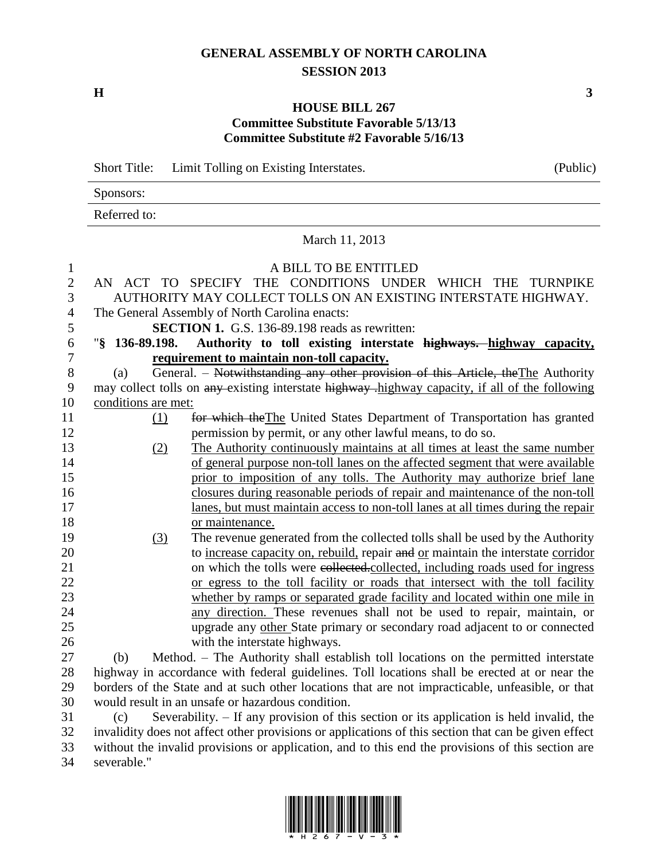## **GENERAL ASSEMBLY OF NORTH CAROLINA SESSION 2013**

**H 3**

## **HOUSE BILL 267 Committee Substitute Favorable 5/13/13 Committee Substitute #2 Favorable 5/16/13**

Sponsors: Referred to: March 11, 2013 A BILL TO BE ENTITLED AN ACT TO SPECIFY THE CONDITIONS UNDER WHICH THE TURNPIKE AUTHORITY MAY COLLECT TOLLS ON AN EXISTING INTERSTATE HIGHWAY. The General Assembly of North Carolina enacts: **SECTION 1.** G.S. 136-89.198 reads as rewritten: "**§ 136-89.198. Authority to toll existing interstate highways. highway capacity, requirement to maintain non-toll capacity.** 8 (a) General. – Notwithstanding any other provision of this Article, the The Authority 9 may collect tolls on any existing interstate highway -highway capacity, if all of the following conditions are met: (1) for which theThe United States Department of Transportation has granted permission by permit, or any other lawful means, to do so. (2) The Authority continuously maintains at all times at least the same number 14 of general purpose non-toll lanes on the affected segment that were available prior to imposition of any tolls. The Authority may authorize brief lane closures during reasonable periods of repair and maintenance of the non-toll lanes, but must maintain access to non-toll lanes at all times during the repair 18 or maintenance. (3) The revenue generated from the collected tolls shall be used by the Authority to increase capacity on, rebuild, repair and or maintain the interstate corridor 21 on which the tolls were e<del>ollected.</del>collected, including roads used for ingress or egress to the toll facility or roads that intersect with the toll facility whether by ramps or separated grade facility and located within one mile in any direction. These revenues shall not be used to repair, maintain, or upgrade any other State primary or secondary road adjacent to or connected 26 with the interstate highways. (b) Method. – The Authority shall establish toll locations on the permitted interstate highway in accordance with federal guidelines. Toll locations shall be erected at or near the borders of the State and at such other locations that are not impracticable, unfeasible, or that would result in an unsafe or hazardous condition. (c) Severability. – If any provision of this section or its application is held invalid, the invalidity does not affect other provisions or applications of this section that can be given effect

 without the invalid provisions or application, and to this end the provisions of this section are severable."



| Short Title: Limit Tolling on Existing Interstates. | (Public) |
|-----------------------------------------------------|----------|
|                                                     |          |